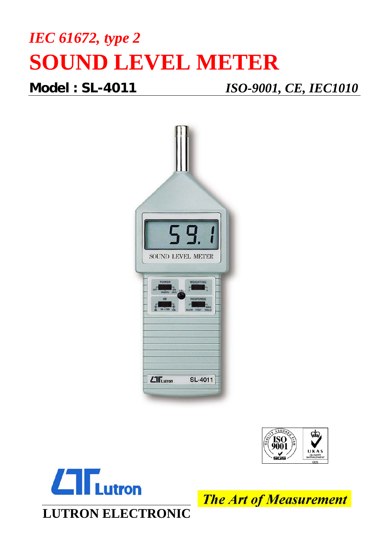## *IEC 61672, type 2*  **SOUND LEVEL METER**

**Model : SL-4011** *ISO-9001, CE, IEC1010*







**The Art of Measurement**